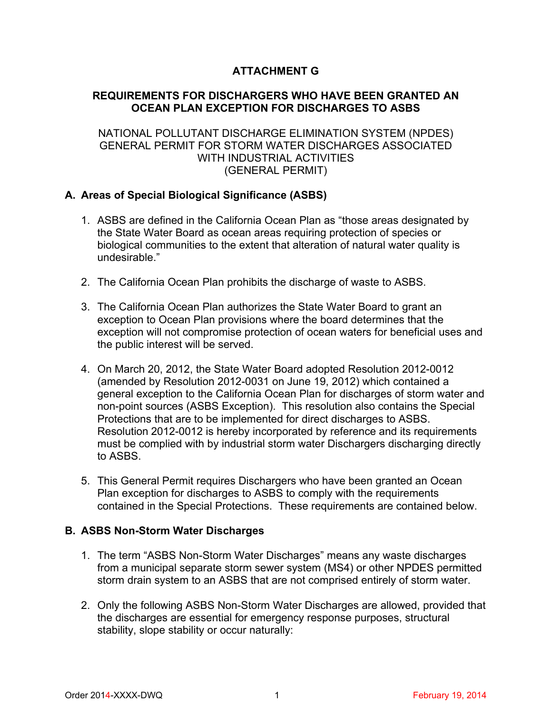# **ATTACHMENT G**

# **REQUIREMENTS FOR DISCHARGERS WHO HAVE BEEN GRANTED AN OCEAN PLAN EXCEPTION FOR DISCHARGES TO ASBS**

## NATIONAL POLLUTANT DISCHARGE ELIMINATION SYSTEM (NPDES) GENERAL PERMIT FOR STORM WATER DISCHARGES ASSOCIATED WITH INDUSTRIAL ACTIVITIES (GENERAL PERMIT)

# **A. Areas of Special Biological Significance (ASBS)**

- 1. ASBS are defined in the California Ocean Plan as "those areas designated by the State Water Board as ocean areas requiring protection of species or biological communities to the extent that alteration of natural water quality is undesirable."
- 2. The California Ocean Plan prohibits the discharge of waste to ASBS.
- 3. The California Ocean Plan authorizes the State Water Board to grant an exception to Ocean Plan provisions where the board determines that the exception will not compromise protection of ocean waters for beneficial uses and the public interest will be served.
- 4. On March 20, 2012, the State Water Board adopted Resolution 2012-0012 (amended by Resolution 2012-0031 on June 19, 2012) which contained a general exception to the California Ocean Plan for discharges of storm water and non-point sources (ASBS Exception). This resolution also contains the Special Protections that are to be implemented for direct discharges to ASBS. Resolution 2012-0012 is hereby incorporated by reference and its requirements must be complied with by industrial storm water Dischargers discharging directly to ASBS.
- 5. This General Permit requires Dischargers who have been granted an Ocean Plan exception for discharges to ASBS to comply with the requirements contained in the Special Protections. These requirements are contained below.

### **B. ASBS Non-Storm Water Discharges**

- 1. The term "ASBS Non-Storm Water Discharges" means any waste discharges from a municipal separate storm sewer system (MS4) or other NPDES permitted storm drain system to an ASBS that are not comprised entirely of storm water.
- 2. Only the following ASBS Non-Storm Water Discharges are allowed, provided that the discharges are essential for emergency response purposes, structural stability, slope stability or occur naturally: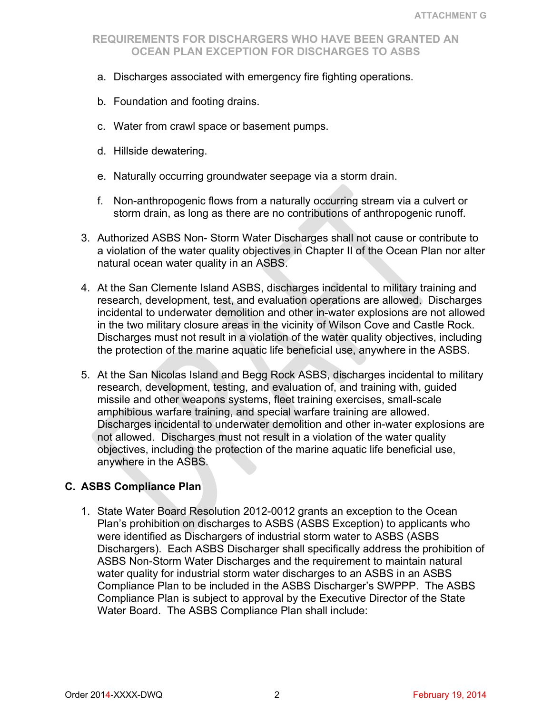- a. Discharges associated with emergency fire fighting operations.
- b. Foundation and footing drains.
- c. Water from crawl space or basement pumps.
- d. Hillside dewatering.
- e. Naturally occurring groundwater seepage via a storm drain.
- f. Non-anthropogenic flows from a naturally occurring stream via a culvert or storm drain, as long as there are no contributions of anthropogenic runoff.
- 3. Authorized ASBS Non- Storm Water Discharges shall not cause or contribute to a violation of the water quality objectives in Chapter II of the Ocean Plan nor alter natural ocean water quality in an ASBS.
- 4. At the San Clemente Island ASBS, discharges incidental to military training and research, development, test, and evaluation operations are allowed. Discharges incidental to underwater demolition and other in-water explosions are not allowed in the two military closure areas in the vicinity of Wilson Cove and Castle Rock. Discharges must not result in a violation of the water quality objectives, including the protection of the marine aquatic life beneficial use, anywhere in the ASBS.
- 5. At the San Nicolas Island and Begg Rock ASBS, discharges incidental to military research, development, testing, and evaluation of, and training with, guided missile and other weapons systems, fleet training exercises, small-scale amphibious warfare training, and special warfare training are allowed. Discharges incidental to underwater demolition and other in-water explosions are not allowed. Discharges must not result in a violation of the water quality objectives, including the protection of the marine aquatic life beneficial use, anywhere in the ASBS.

### **C. ASBS Compliance Plan**

1. State Water Board Resolution 2012-0012 grants an exception to the Ocean Plan's prohibition on discharges to ASBS (ASBS Exception) to applicants who were identified as Dischargers of industrial storm water to ASBS (ASBS Dischargers). Each ASBS Discharger shall specifically address the prohibition of ASBS Non-Storm Water Discharges and the requirement to maintain natural water quality for industrial storm water discharges to an ASBS in an ASBS Compliance Plan to be included in the ASBS Discharger's SWPPP. The ASBS Compliance Plan is subject to approval by the Executive Director of the State Water Board. The ASBS Compliance Plan shall include: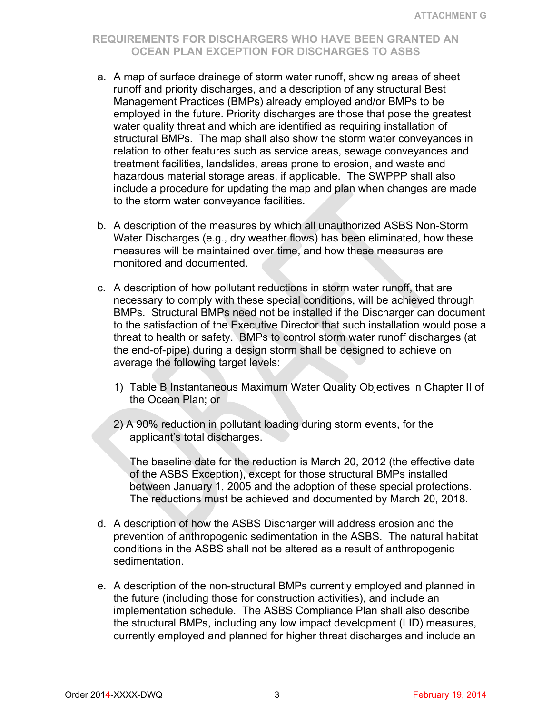- a. A map of surface drainage of storm water runoff, showing areas of sheet runoff and priority discharges, and a description of any structural Best Management Practices (BMPs) already employed and/or BMPs to be employed in the future. Priority discharges are those that pose the greatest water quality threat and which are identified as requiring installation of structural BMPs. The map shall also show the storm water conveyances in relation to other features such as service areas, sewage conveyances and treatment facilities, landslides, areas prone to erosion, and waste and hazardous material storage areas, if applicable. The SWPPP shall also include a procedure for updating the map and plan when changes are made to the storm water conveyance facilities.
- b. A description of the measures by which all unauthorized ASBS Non-Storm Water Discharges (e.g., dry weather flows) has been eliminated, how these measures will be maintained over time, and how these measures are monitored and documented.
- c. A description of how pollutant reductions in storm water runoff, that are necessary to comply with these special conditions, will be achieved through BMPs. Structural BMPs need not be installed if the Discharger can document to the satisfaction of the Executive Director that such installation would pose a threat to health or safety. BMPs to control storm water runoff discharges (at the end-of-pipe) during a design storm shall be designed to achieve on average the following target levels:
	- 1) Table B Instantaneous Maximum Water Quality Objectives in Chapter II of the Ocean Plan; or
	- 2) A 90% reduction in pollutant loading during storm events, for the applicant's total discharges.

The baseline date for the reduction is March 20, 2012 (the effective date of the ASBS Exception), except for those structural BMPs installed between January 1, 2005 and the adoption of these special protections. The reductions must be achieved and documented by March 20, 2018.

- d. A description of how the ASBS Discharger will address erosion and the prevention of anthropogenic sedimentation in the ASBS. The natural habitat conditions in the ASBS shall not be altered as a result of anthropogenic sedimentation.
- e. A description of the non-structural BMPs currently employed and planned in the future (including those for construction activities), and include an implementation schedule. The ASBS Compliance Plan shall also describe the structural BMPs, including any low impact development (LID) measures, currently employed and planned for higher threat discharges and include an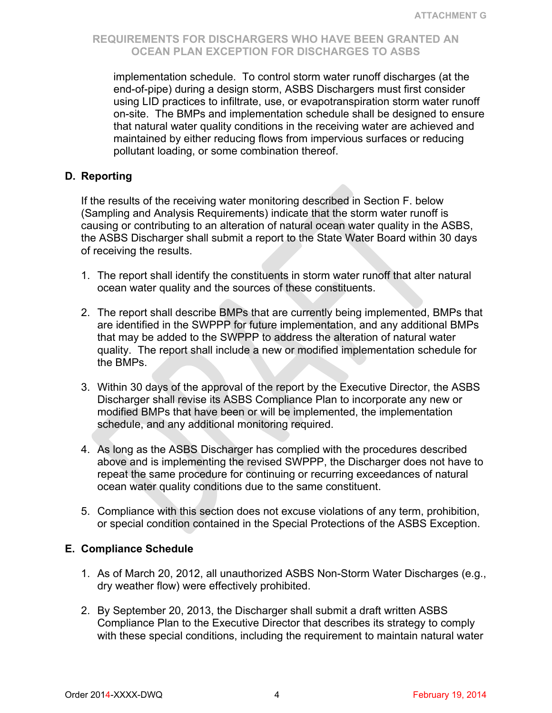implementation schedule. To control storm water runoff discharges (at the end-of-pipe) during a design storm, ASBS Dischargers must first consider using LID practices to infiltrate, use, or evapotranspiration storm water runoff on-site. The BMPs and implementation schedule shall be designed to ensure that natural water quality conditions in the receiving water are achieved and maintained by either reducing flows from impervious surfaces or reducing pollutant loading, or some combination thereof.

### **D. Reporting**

If the results of the receiving water monitoring described in Section F. below (Sampling and Analysis Requirements) indicate that the storm water runoff is causing or contributing to an alteration of natural ocean water quality in the ASBS, the ASBS Discharger shall submit a report to the State Water Board within 30 days of receiving the results.

- 1. The report shall identify the constituents in storm water runoff that alter natural ocean water quality and the sources of these constituents.
- 2. The report shall describe BMPs that are currently being implemented, BMPs that are identified in the SWPPP for future implementation, and any additional BMPs that may be added to the SWPPP to address the alteration of natural water quality. The report shall include a new or modified implementation schedule for the BMPs.
- 3. Within 30 days of the approval of the report by the Executive Director, the ASBS Discharger shall revise its ASBS Compliance Plan to incorporate any new or modified BMPs that have been or will be implemented, the implementation schedule, and any additional monitoring required.
- 4. As long as the ASBS Discharger has complied with the procedures described above and is implementing the revised SWPPP, the Discharger does not have to repeat the same procedure for continuing or recurring exceedances of natural ocean water quality conditions due to the same constituent.
- 5. Compliance with this section does not excuse violations of any term, prohibition, or special condition contained in the Special Protections of the ASBS Exception.

### **E. Compliance Schedule**

- 1. As of March 20, 2012, all unauthorized ASBS Non-Storm Water Discharges (e.g., dry weather flow) were effectively prohibited.
- 2. By September 20, 2013, the Discharger shall submit a draft written ASBS Compliance Plan to the Executive Director that describes its strategy to comply with these special conditions, including the requirement to maintain natural water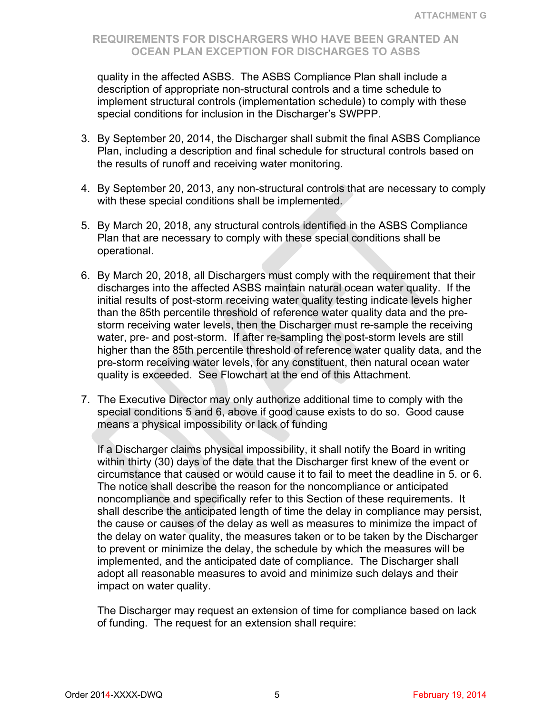quality in the affected ASBS. The ASBS Compliance Plan shall include a description of appropriate non-structural controls and a time schedule to implement structural controls (implementation schedule) to comply with these special conditions for inclusion in the Discharger's SWPPP.

- 3. By September 20, 2014, the Discharger shall submit the final ASBS Compliance Plan, including a description and final schedule for structural controls based on the results of runoff and receiving water monitoring.
- 4. By September 20, 2013, any non-structural controls that are necessary to comply with these special conditions shall be implemented.
- 5. By March 20, 2018, any structural controls identified in the ASBS Compliance Plan that are necessary to comply with these special conditions shall be operational.
- 6. By March 20, 2018, all Dischargers must comply with the requirement that their discharges into the affected ASBS maintain natural ocean water quality. If the initial results of post-storm receiving water quality testing indicate levels higher than the 85th percentile threshold of reference water quality data and the prestorm receiving water levels, then the Discharger must re-sample the receiving water, pre- and post-storm. If after re-sampling the post-storm levels are still higher than the 85th percentile threshold of reference water quality data, and the pre-storm receiving water levels, for any constituent, then natural ocean water quality is exceeded. See Flowchart at the end of this Attachment.
- 7. The Executive Director may only authorize additional time to comply with the special conditions 5 and 6, above if good cause exists to do so. Good cause means a physical impossibility or lack of funding

If a Discharger claims physical impossibility, it shall notify the Board in writing within thirty (30) days of the date that the Discharger first knew of the event or circumstance that caused or would cause it to fail to meet the deadline in 5. or 6. The notice shall describe the reason for the noncompliance or anticipated noncompliance and specifically refer to this Section of these requirements. It shall describe the anticipated length of time the delay in compliance may persist, the cause or causes of the delay as well as measures to minimize the impact of the delay on water quality, the measures taken or to be taken by the Discharger to prevent or minimize the delay, the schedule by which the measures will be implemented, and the anticipated date of compliance. The Discharger shall adopt all reasonable measures to avoid and minimize such delays and their impact on water quality.

The Discharger may request an extension of time for compliance based on lack of funding. The request for an extension shall require: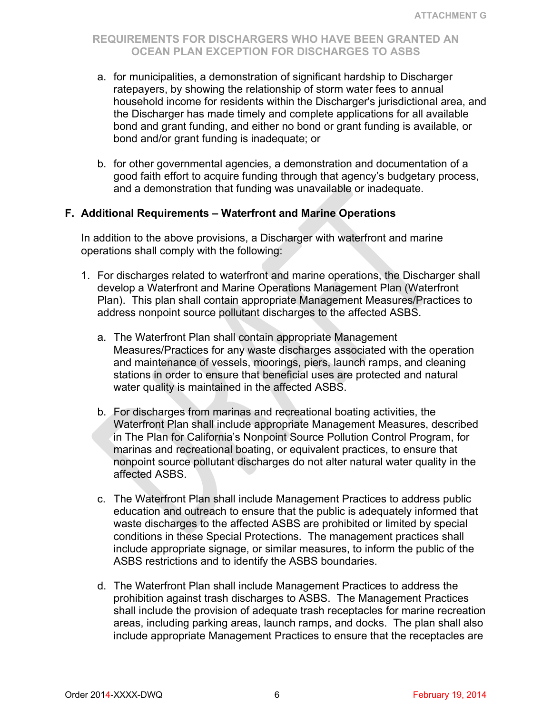- a. for municipalities, a demonstration of significant hardship to Discharger ratepayers, by showing the relationship of storm water fees to annual household income for residents within the Discharger's jurisdictional area, and the Discharger has made timely and complete applications for all available bond and grant funding, and either no bond or grant funding is available, or bond and/or grant funding is inadequate; or
- b. for other governmental agencies, a demonstration and documentation of a good faith effort to acquire funding through that agency's budgetary process, and a demonstration that funding was unavailable or inadequate.

#### **F. Additional Requirements – Waterfront and Marine Operations**

In addition to the above provisions, a Discharger with waterfront and marine operations shall comply with the following:

- 1. For discharges related to waterfront and marine operations, the Discharger shall develop a Waterfront and Marine Operations Management Plan (Waterfront Plan). This plan shall contain appropriate Management Measures/Practices to address nonpoint source pollutant discharges to the affected ASBS.
	- a. The Waterfront Plan shall contain appropriate Management Measures/Practices for any waste discharges associated with the operation and maintenance of vessels, moorings, piers, launch ramps, and cleaning stations in order to ensure that beneficial uses are protected and natural water quality is maintained in the affected ASBS.
	- b. For discharges from marinas and recreational boating activities, the Waterfront Plan shall include appropriate Management Measures, described in The Plan for California's Nonpoint Source Pollution Control Program, for marinas and recreational boating, or equivalent practices, to ensure that nonpoint source pollutant discharges do not alter natural water quality in the affected ASBS.
	- c. The Waterfront Plan shall include Management Practices to address public education and outreach to ensure that the public is adequately informed that waste discharges to the affected ASBS are prohibited or limited by special conditions in these Special Protections. The management practices shall include appropriate signage, or similar measures, to inform the public of the ASBS restrictions and to identify the ASBS boundaries.
	- d. The Waterfront Plan shall include Management Practices to address the prohibition against trash discharges to ASBS. The Management Practices shall include the provision of adequate trash receptacles for marine recreation areas, including parking areas, launch ramps, and docks. The plan shall also include appropriate Management Practices to ensure that the receptacles are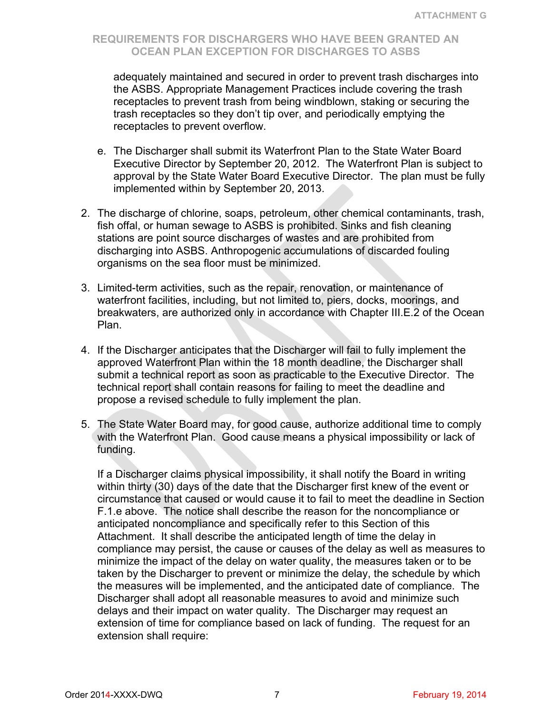adequately maintained and secured in order to prevent trash discharges into the ASBS. Appropriate Management Practices include covering the trash receptacles to prevent trash from being windblown, staking or securing the trash receptacles so they don't tip over, and periodically emptying the receptacles to prevent overflow.

- e. The Discharger shall submit its Waterfront Plan to the State Water Board Executive Director by September 20, 2012. The Waterfront Plan is subject to approval by the State Water Board Executive Director. The plan must be fully implemented within by September 20, 2013.
- 2. The discharge of chlorine, soaps, petroleum, other chemical contaminants, trash, fish offal, or human sewage to ASBS is prohibited. Sinks and fish cleaning stations are point source discharges of wastes and are prohibited from discharging into ASBS. Anthropogenic accumulations of discarded fouling organisms on the sea floor must be minimized.
- 3. Limited-term activities, such as the repair, renovation, or maintenance of waterfront facilities, including, but not limited to, piers, docks, moorings, and breakwaters, are authorized only in accordance with Chapter III.E.2 of the Ocean Plan.
- 4. If the Discharger anticipates that the Discharger will fail to fully implement the approved Waterfront Plan within the 18 month deadline, the Discharger shall submit a technical report as soon as practicable to the Executive Director. The technical report shall contain reasons for failing to meet the deadline and propose a revised schedule to fully implement the plan.
- 5. The State Water Board may, for good cause, authorize additional time to comply with the Waterfront Plan. Good cause means a physical impossibility or lack of funding.

If a Discharger claims physical impossibility, it shall notify the Board in writing within thirty (30) days of the date that the Discharger first knew of the event or circumstance that caused or would cause it to fail to meet the deadline in Section F.1.e above. The notice shall describe the reason for the noncompliance or anticipated noncompliance and specifically refer to this Section of this Attachment. It shall describe the anticipated length of time the delay in compliance may persist, the cause or causes of the delay as well as measures to minimize the impact of the delay on water quality, the measures taken or to be taken by the Discharger to prevent or minimize the delay, the schedule by which the measures will be implemented, and the anticipated date of compliance. The Discharger shall adopt all reasonable measures to avoid and minimize such delays and their impact on water quality. The Discharger may request an extension of time for compliance based on lack of funding. The request for an extension shall require: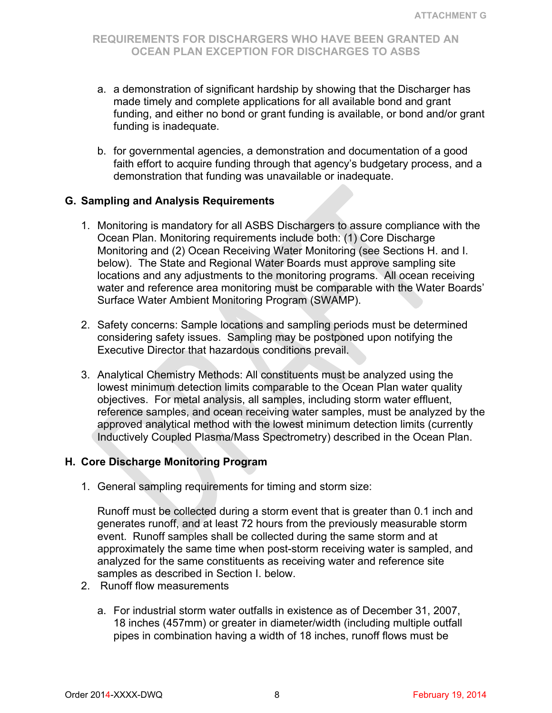- a. a demonstration of significant hardship by showing that the Discharger has made timely and complete applications for all available bond and grant funding, and either no bond or grant funding is available, or bond and/or grant funding is inadequate.
- b. for governmental agencies, a demonstration and documentation of a good faith effort to acquire funding through that agency's budgetary process, and a demonstration that funding was unavailable or inadequate.

### **G. Sampling and Analysis Requirements**

- 1. Monitoring is mandatory for all ASBS Dischargers to assure compliance with the Ocean Plan. Monitoring requirements include both: (1) Core Discharge Monitoring and (2) Ocean Receiving Water Monitoring (see Sections H. and I. below). The State and Regional Water Boards must approve sampling site locations and any adjustments to the monitoring programs. All ocean receiving water and reference area monitoring must be comparable with the Water Boards' Surface Water Ambient Monitoring Program (SWAMP).
- 2. Safety concerns: Sample locations and sampling periods must be determined considering safety issues. Sampling may be postponed upon notifying the Executive Director that hazardous conditions prevail.
- 3. Analytical Chemistry Methods: All constituents must be analyzed using the lowest minimum detection limits comparable to the Ocean Plan water quality objectives. For metal analysis, all samples, including storm water effluent, reference samples, and ocean receiving water samples, must be analyzed by the approved analytical method with the lowest minimum detection limits (currently Inductively Coupled Plasma/Mass Spectrometry) described in the Ocean Plan.

### **H. Core Discharge Monitoring Program**

1. General sampling requirements for timing and storm size:

Runoff must be collected during a storm event that is greater than 0.1 inch and generates runoff, and at least 72 hours from the previously measurable storm event. Runoff samples shall be collected during the same storm and at approximately the same time when post-storm receiving water is sampled, and analyzed for the same constituents as receiving water and reference site samples as described in Section I. below.

- 2. Runoff flow measurements
	- a. For industrial storm water outfalls in existence as of December 31, 2007, 18 inches (457mm) or greater in diameter/width (including multiple outfall pipes in combination having a width of 18 inches, runoff flows must be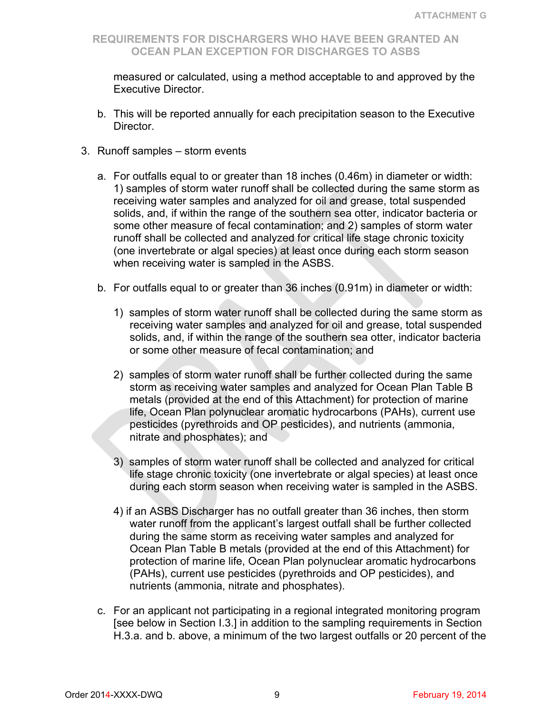measured or calculated, using a method acceptable to and approved by the Executive Director.

- b. This will be reported annually for each precipitation season to the Executive Director.
- 3. Runoff samples storm events
	- a. For outfalls equal to or greater than 18 inches (0.46m) in diameter or width: 1) samples of storm water runoff shall be collected during the same storm as receiving water samples and analyzed for oil and grease, total suspended solids, and, if within the range of the southern sea otter, indicator bacteria or some other measure of fecal contamination; and 2) samples of storm water runoff shall be collected and analyzed for critical life stage chronic toxicity (one invertebrate or algal species) at least once during each storm season when receiving water is sampled in the ASBS.
	- b. For outfalls equal to or greater than 36 inches (0.91m) in diameter or width:
		- 1) samples of storm water runoff shall be collected during the same storm as receiving water samples and analyzed for oil and grease, total suspended solids, and, if within the range of the southern sea otter, indicator bacteria or some other measure of fecal contamination; and
		- 2) samples of storm water runoff shall be further collected during the same storm as receiving water samples and analyzed for Ocean Plan Table B metals (provided at the end of this Attachment) for protection of marine life, Ocean Plan polynuclear aromatic hydrocarbons (PAHs), current use pesticides (pyrethroids and OP pesticides), and nutrients (ammonia, nitrate and phosphates); and
		- 3) samples of storm water runoff shall be collected and analyzed for critical life stage chronic toxicity (one invertebrate or algal species) at least once during each storm season when receiving water is sampled in the ASBS.
		- 4) if an ASBS Discharger has no outfall greater than 36 inches, then storm water runoff from the applicant's largest outfall shall be further collected during the same storm as receiving water samples and analyzed for Ocean Plan Table B metals (provided at the end of this Attachment) for protection of marine life, Ocean Plan polynuclear aromatic hydrocarbons (PAHs), current use pesticides (pyrethroids and OP pesticides), and nutrients (ammonia, nitrate and phosphates).
	- c. For an applicant not participating in a regional integrated monitoring program [see below in Section I.3.] in addition to the sampling requirements in Section H.3.a. and b. above, a minimum of the two largest outfalls or 20 percent of the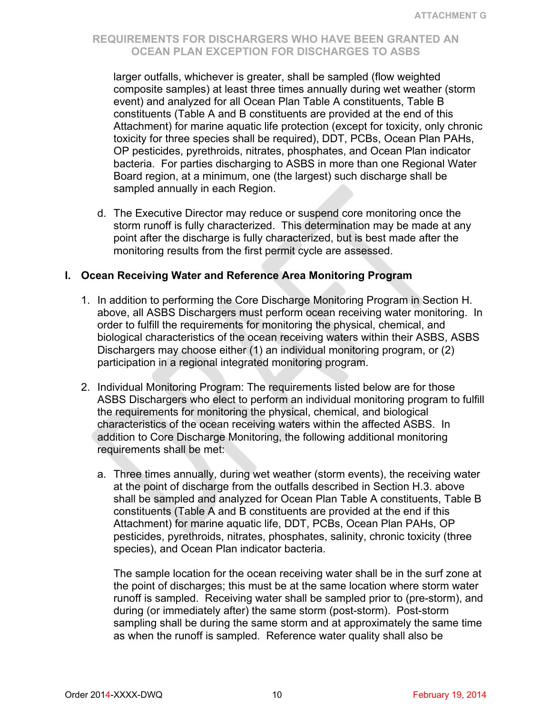larger outfalls, whichever is greater, shall be sampled (flow weighted composite samples) at least three times annually during wet weather (storm event) and analyzed for all Ocean Plan Table A constituents, Table B constituents (Table A and B constituents are provided at the end of this Attachment) for marine aquatic life protection (except for toxicity, only chronic toxicity for three species shall be required), DDT, PCBs, Ocean Plan PAHs, OP pesticides, pyrethroids, nitrates, phosphates, and Ocean Plan indicator bacteria. For parties discharging to ASBS in more than one Regional Water Board region, at a minimum, one (the largest) such discharge shall be sampled annually in each Region.

d. The Executive Director may reduce or suspend core monitoring once the storm runoff is fully characterized. This determination may be made at any point after the discharge is fully characterized, but is best made after the monitoring results from the first permit cycle are assessed.

### **I. Ocean Receiving Water and Reference Area Monitoring Program**

- 1. In addition to performing the Core Discharge Monitoring Program in Section H. above, all ASBS Dischargers must perform ocean receiving water monitoring. In order to fulfill the requirements for monitoring the physical, chemical, and biological characteristics of the ocean receiving waters within their ASBS, ASBS Dischargers may choose either (1) an individual monitoring program, or (2) participation in a regional integrated monitoring program.
- 2. Individual Monitoring Program: The requirements listed below are for those ASBS Dischargers who elect to perform an individual monitoring program to fulfill the requirements for monitoring the physical, chemical, and biological characteristics of the ocean receiving waters within the affected ASBS. In addition to Core Discharge Monitoring, the following additional monitoring requirements shall be met:
	- a. Three times annually, during wet weather (storm events), the receiving water at the point of discharge from the outfalls described in Section H.3. above shall be sampled and analyzed for Ocean Plan Table A constituents, Table B constituents (Table A and B constituents are provided at the end if this Attachment) for marine aquatic life, DDT, PCBs, Ocean Plan PAHs, OP pesticides, pyrethroids, nitrates, phosphates, salinity, chronic toxicity (three species), and Ocean Plan indicator bacteria.

The sample location for the ocean receiving water shall be in the surf zone at the point of discharges; this must be at the same location where storm water runoff is sampled. Receiving water shall be sampled prior to (pre-storm), and during (or immediately after) the same storm (post-storm). Post-storm sampling shall be during the same storm and at approximately the same time as when the runoff is sampled. Reference water quality shall also be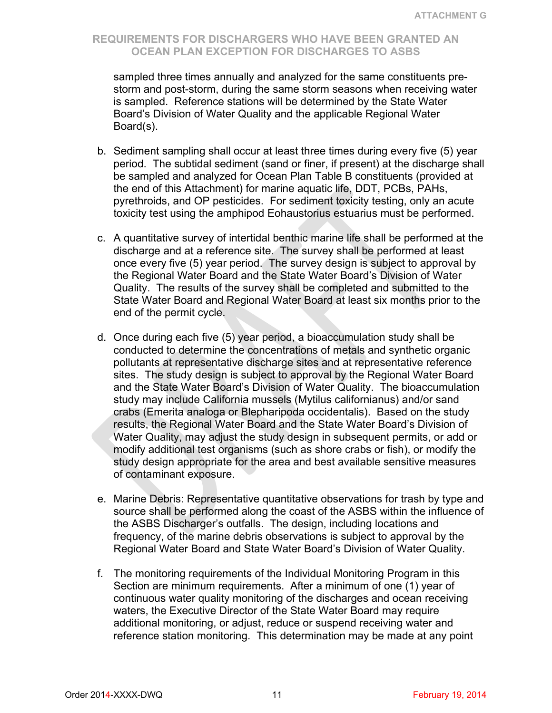sampled three times annually and analyzed for the same constituents prestorm and post-storm, during the same storm seasons when receiving water is sampled. Reference stations will be determined by the State Water Board's Division of Water Quality and the applicable Regional Water Board(s).

- b. Sediment sampling shall occur at least three times during every five (5) year period. The subtidal sediment (sand or finer, if present) at the discharge shall be sampled and analyzed for Ocean Plan Table B constituents (provided at the end of this Attachment) for marine aquatic life, DDT, PCBs, PAHs, pyrethroids, and OP pesticides. For sediment toxicity testing, only an acute toxicity test using the amphipod Eohaustorius estuarius must be performed.
- c. A quantitative survey of intertidal benthic marine life shall be performed at the discharge and at a reference site. The survey shall be performed at least once every five (5) year period. The survey design is subject to approval by the Regional Water Board and the State Water Board's Division of Water Quality. The results of the survey shall be completed and submitted to the State Water Board and Regional Water Board at least six months prior to the end of the permit cycle.
- d. Once during each five (5) year period, a bioaccumulation study shall be conducted to determine the concentrations of metals and synthetic organic pollutants at representative discharge sites and at representative reference sites. The study design is subject to approval by the Regional Water Board and the State Water Board's Division of Water Quality. The bioaccumulation study may include California mussels (Mytilus californianus) and/or sand crabs (Emerita analoga or Blepharipoda occidentalis). Based on the study results, the Regional Water Board and the State Water Board's Division of Water Quality, may adjust the study design in subsequent permits, or add or modify additional test organisms (such as shore crabs or fish), or modify the study design appropriate for the area and best available sensitive measures of contaminant exposure.
- e. Marine Debris: Representative quantitative observations for trash by type and source shall be performed along the coast of the ASBS within the influence of the ASBS Discharger's outfalls. The design, including locations and frequency, of the marine debris observations is subject to approval by the Regional Water Board and State Water Board's Division of Water Quality.
- f. The monitoring requirements of the Individual Monitoring Program in this Section are minimum requirements. After a minimum of one (1) year of continuous water quality monitoring of the discharges and ocean receiving waters, the Executive Director of the State Water Board may require additional monitoring, or adjust, reduce or suspend receiving water and reference station monitoring. This determination may be made at any point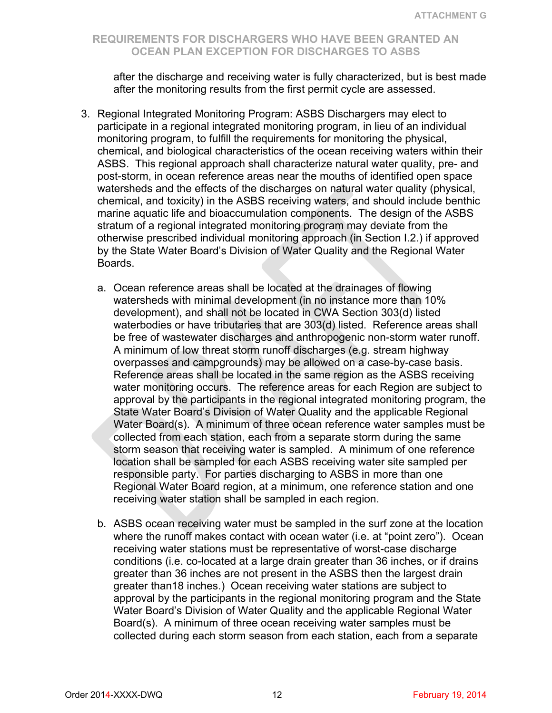after the discharge and receiving water is fully characterized, but is best made after the monitoring results from the first permit cycle are assessed.

- 3. Regional Integrated Monitoring Program: ASBS Dischargers may elect to participate in a regional integrated monitoring program, in lieu of an individual monitoring program, to fulfill the requirements for monitoring the physical, chemical, and biological characteristics of the ocean receiving waters within their ASBS. This regional approach shall characterize natural water quality, pre- and post-storm, in ocean reference areas near the mouths of identified open space watersheds and the effects of the discharges on natural water quality (physical, chemical, and toxicity) in the ASBS receiving waters, and should include benthic marine aquatic life and bioaccumulation components. The design of the ASBS stratum of a regional integrated monitoring program may deviate from the otherwise prescribed individual monitoring approach (in Section I.2.) if approved by the State Water Board's Division of Water Quality and the Regional Water Boards.
	- a. Ocean reference areas shall be located at the drainages of flowing watersheds with minimal development (in no instance more than 10% development), and shall not be located in CWA Section 303(d) listed waterbodies or have tributaries that are 303(d) listed. Reference areas shall be free of wastewater discharges and anthropogenic non-storm water runoff. A minimum of low threat storm runoff discharges (e.g. stream highway overpasses and campgrounds) may be allowed on a case-by-case basis. Reference areas shall be located in the same region as the ASBS receiving water monitoring occurs. The reference areas for each Region are subject to approval by the participants in the regional integrated monitoring program, the State Water Board's Division of Water Quality and the applicable Regional Water Board(s). A minimum of three ocean reference water samples must be collected from each station, each from a separate storm during the same storm season that receiving water is sampled. A minimum of one reference location shall be sampled for each ASBS receiving water site sampled per responsible party. For parties discharging to ASBS in more than one Regional Water Board region, at a minimum, one reference station and one receiving water station shall be sampled in each region.
	- b. ASBS ocean receiving water must be sampled in the surf zone at the location where the runoff makes contact with ocean water (i.e. at "point zero"). Ocean receiving water stations must be representative of worst-case discharge conditions (i.e. co-located at a large drain greater than 36 inches, or if drains greater than 36 inches are not present in the ASBS then the largest drain greater than18 inches.) Ocean receiving water stations are subject to approval by the participants in the regional monitoring program and the State Water Board's Division of Water Quality and the applicable Regional Water Board(s). A minimum of three ocean receiving water samples must be collected during each storm season from each station, each from a separate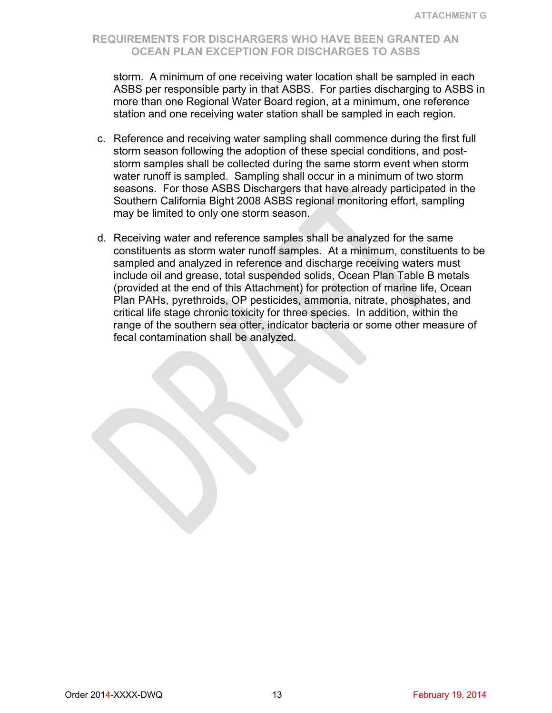storm. A minimum of one receiving water location shall be sampled in each ASBS per responsible party in that ASBS. For parties discharging to ASBS in more than one Regional Water Board region, at a minimum, one reference station and one receiving water station shall be sampled in each region.

- c. Reference and receiving water sampling shall commence during the first full storm season following the adoption of these special conditions, and poststorm samples shall be collected during the same storm event when storm water runoff is sampled. Sampling shall occur in a minimum of two storm seasons. For those ASBS Dischargers that have already participated in the Southern California Bight 2008 ASBS regional monitoring effort, sampling may be limited to only one storm season.
- d. Receiving water and reference samples shall be analyzed for the same constituents as storm water runoff samples. At a minimum, constituents to be sampled and analyzed in reference and discharge receiving waters must include oil and grease, total suspended solids, Ocean Plan Table B metals (provided at the end of this Attachment) for protection of marine life, Ocean Plan PAHs, pyrethroids, OP pesticides, ammonia, nitrate, phosphates, and critical life stage chronic toxicity for three species. In addition, within the range of the southern sea otter, indicator bacteria or some other measure of fecal contamination shall be analyzed.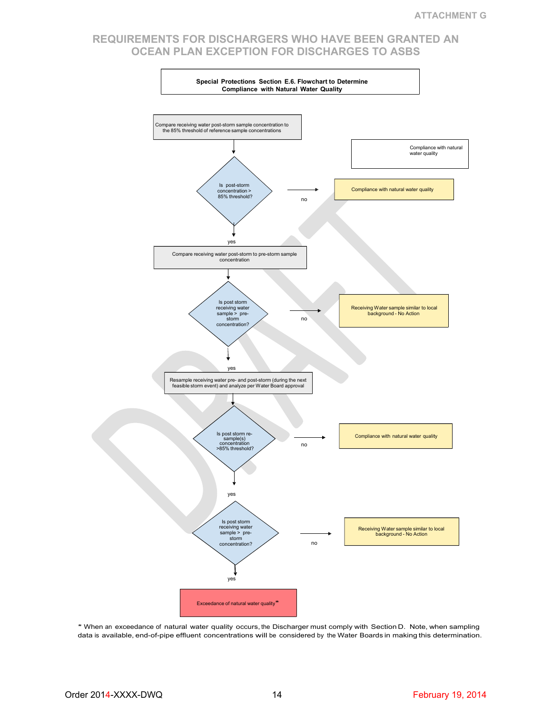

\* When an exceedance of natural water quality occurs, the Discharger must comply with Section D. Note, when sampling data is available, end-of-pipe effluent concentrations will be considered by the Water Boards in making this determination.